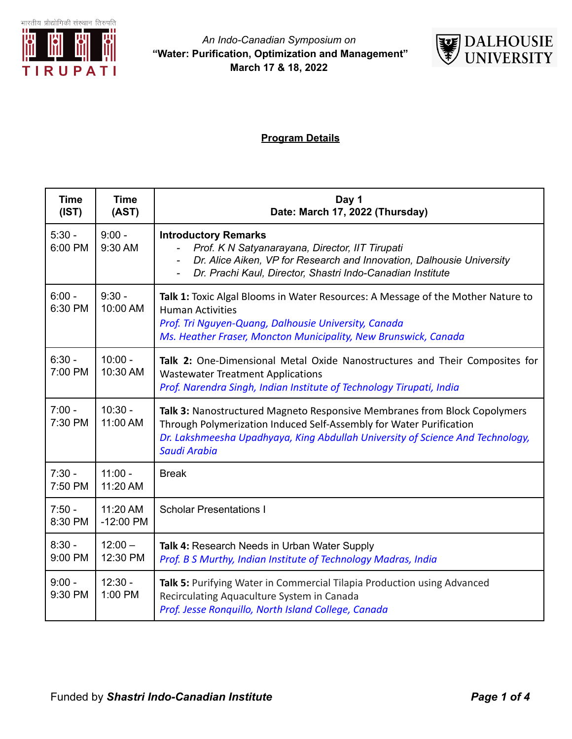



## **Program Details**

| <b>Time</b><br>(IST) | <b>Time</b><br>(AST)    | Day 1<br>Date: March 17, 2022 (Thursday)                                                                                                                                                                                                           |
|----------------------|-------------------------|----------------------------------------------------------------------------------------------------------------------------------------------------------------------------------------------------------------------------------------------------|
| $5:30 -$<br>6:00 PM  | $9:00 -$<br>9:30 AM     | <b>Introductory Remarks</b><br>Prof. K N Satyanarayana, Director, IIT Tirupati<br>Dr. Alice Aiken, VP for Research and Innovation, Dalhousie University<br>Dr. Prachi Kaul, Director, Shastri Indo-Canadian Institute                              |
| $6:00 -$<br>6:30 PM  | $9:30 -$<br>10:00 AM    | Talk 1: Toxic Algal Blooms in Water Resources: A Message of the Mother Nature to<br><b>Human Activities</b><br>Prof. Tri Nguyen-Quang, Dalhousie University, Canada<br>Ms. Heather Fraser, Moncton Municipality, New Brunswick, Canada             |
| $6:30 -$<br>7:00 PM  | $10:00 -$<br>10:30 AM   | Talk 2: One-Dimensional Metal Oxide Nanostructures and Their Composites for<br><b>Wastewater Treatment Applications</b><br>Prof. Narendra Singh, Indian Institute of Technology Tirupati, India                                                    |
| $7:00 -$<br>7:30 PM  | $10:30 -$<br>11:00 AM   | Talk 3: Nanostructured Magneto Responsive Membranes from Block Copolymers<br>Through Polymerization Induced Self-Assembly for Water Purification<br>Dr. Lakshmeesha Upadhyaya, King Abdullah University of Science And Technology,<br>Saudi Arabia |
| $7:30 -$<br>7:50 PM  | $11:00 -$<br>11:20 AM   | <b>Break</b>                                                                                                                                                                                                                                       |
| $7:50 -$<br>8:30 PM  | 11:20 AM<br>$-12:00$ PM | <b>Scholar Presentations I</b>                                                                                                                                                                                                                     |
| $8:30 -$<br>9:00 PM  | $12:00 -$<br>12:30 PM   | Talk 4: Research Needs in Urban Water Supply<br>Prof. B S Murthy, Indian Institute of Technology Madras, India                                                                                                                                     |
| $9:00 -$<br>9:30 PM  | $12:30 -$<br>1:00 PM    | Talk 5: Purifying Water in Commercial Tilapia Production using Advanced<br>Recirculating Aquaculture System in Canada<br>Prof. Jesse Ronquillo, North Island College, Canada                                                                       |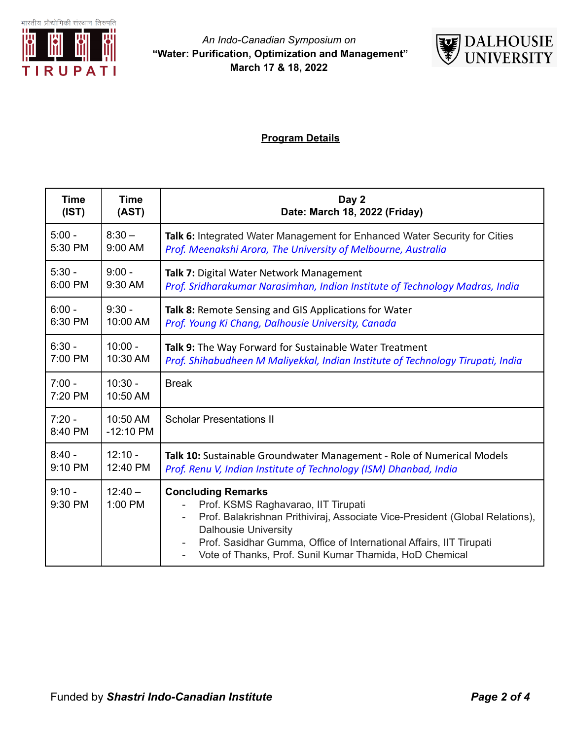

#### *An Indo-Canadian Symposium on* **"Water: Purification, Optimization and Management" March 17 & 18, 2022**



# **Program Details**

| <b>Time</b>         | <b>Time</b>             | Day 2                                                                                                                                                                                                                                                                                                             |
|---------------------|-------------------------|-------------------------------------------------------------------------------------------------------------------------------------------------------------------------------------------------------------------------------------------------------------------------------------------------------------------|
| (IST)               | (AST)                   | Date: March 18, 2022 (Friday)                                                                                                                                                                                                                                                                                     |
| $5:00 -$            | $8:30 -$                | Talk 6: Integrated Water Management for Enhanced Water Security for Cities                                                                                                                                                                                                                                        |
| 5:30 PM             | 9:00 AM                 | Prof. Meenakshi Arora, The University of Melbourne, Australia                                                                                                                                                                                                                                                     |
| $5:30 -$            | $9:00 -$                | Talk 7: Digital Water Network Management                                                                                                                                                                                                                                                                          |
| 6:00 PM             | 9:30 AM                 | Prof. Sridharakumar Narasimhan, Indian Institute of Technology Madras, India                                                                                                                                                                                                                                      |
| $6:00 -$            | $9:30 -$                | Talk 8: Remote Sensing and GIS Applications for Water                                                                                                                                                                                                                                                             |
| 6:30 PM             | 10:00 AM                | Prof. Young Ki Chang, Dalhousie University, Canada                                                                                                                                                                                                                                                                |
| $6:30 -$            | $10:00 -$               | Talk 9: The Way Forward for Sustainable Water Treatment                                                                                                                                                                                                                                                           |
| 7:00 PM             | 10:30 AM                | Prof. Shihabudheen M Maliyekkal, Indian Institute of Technology Tirupati, India                                                                                                                                                                                                                                   |
| $7:00 -$<br>7:20 PM | $10:30 -$<br>10:50 AM   | <b>Break</b>                                                                                                                                                                                                                                                                                                      |
| $7:20 -$<br>8:40 PM | 10:50 AM<br>$-12:10$ PM | <b>Scholar Presentations II</b>                                                                                                                                                                                                                                                                                   |
| $8:40 -$            | $12:10 -$               | Talk 10: Sustainable Groundwater Management - Role of Numerical Models                                                                                                                                                                                                                                            |
| 9:10 PM             | 12:40 PM                | Prof. Renu V, Indian Institute of Technology (ISM) Dhanbad, India                                                                                                                                                                                                                                                 |
| $9:10 -$<br>9:30 PM | $12:40 -$<br>1:00 PM    | <b>Concluding Remarks</b><br>Prof. KSMS Raghavarao, IIT Tirupati<br>Prof. Balakrishnan Prithiviraj, Associate Vice-President (Global Relations),<br><b>Dalhousie University</b><br>Prof. Sasidhar Gumma, Office of International Affairs, IIT Tirupati<br>Vote of Thanks, Prof. Sunil Kumar Thamida, HoD Chemical |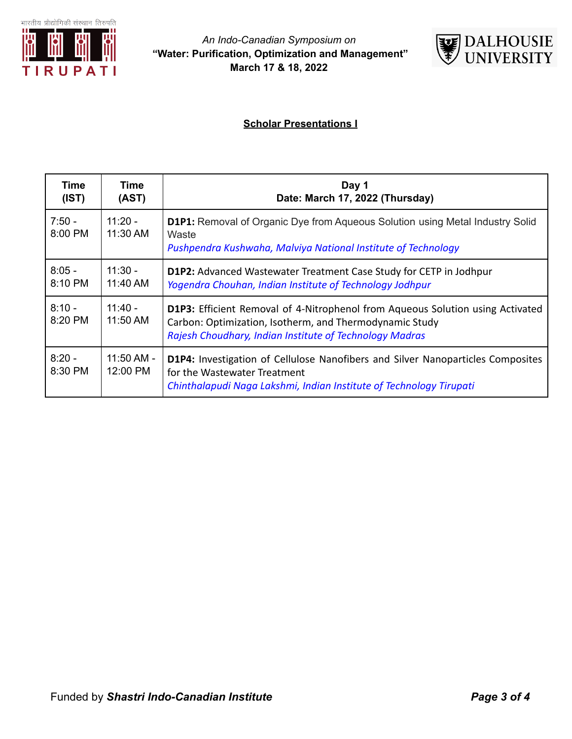



## **Scholar Presentations I**

| Time<br>(IST)       | Time<br>(AST)          | Day 1<br>Date: March 17, 2022 (Thursday)                                                                                                                                                                    |
|---------------------|------------------------|-------------------------------------------------------------------------------------------------------------------------------------------------------------------------------------------------------------|
| $7:50 -$<br>8:00 PM | $11:20 -$<br>11:30 AM  | <b>D1P1:</b> Removal of Organic Dye from Aqueous Solution using Metal Industry Solid<br>Waste<br>Pushpendra Kushwaha, Malviya National Institute of Technology                                              |
| $8:05 -$<br>8:10 PM | $11:30 -$<br>11:40 AM  | D1P2: Advanced Wastewater Treatment Case Study for CETP in Jodhpur<br>Yogendra Chouhan, Indian Institute of Technology Jodhpur                                                                              |
| $8:10 -$<br>8:20 PM | $11:40 -$<br>11:50 AM  | <b>D1P3:</b> Efficient Removal of 4-Nitrophenol from Aqueous Solution using Activated<br>Carbon: Optimization, Isotherm, and Thermodynamic Study<br>Rajesh Choudhary, Indian Institute of Technology Madras |
| $8:20 -$<br>8:30 PM | 11:50 AM -<br>12:00 PM | <b>D1P4:</b> Investigation of Cellulose Nanofibers and Silver Nanoparticles Composites<br>for the Wastewater Treatment<br>Chinthalapudi Naga Lakshmi, Indian Institute of Technology Tirupati               |